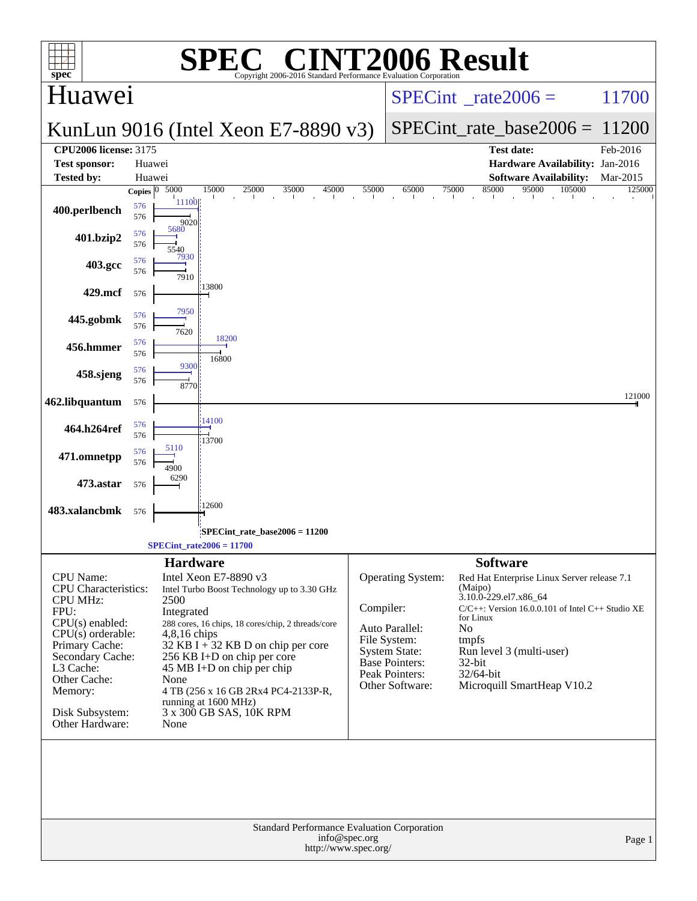| spec <sup>®</sup>                     | $\bigcap$                                                                   | <b>INT2006 Result</b>                                                                             |
|---------------------------------------|-----------------------------------------------------------------------------|---------------------------------------------------------------------------------------------------|
| Huawei                                | Copyright 2006-2016 Standard Performance Evaluation Corporation             | 11700<br>$SPECint^{\circ}$ <sub>_rate2006</sub> =                                                 |
|                                       | KunLun 9016 (Intel Xeon E7-8890 $v3$ )                                      | $SPECint_rate\_base2006 =$<br>11200                                                               |
| <b>CPU2006 license: 3175</b>          |                                                                             | <b>Test date:</b><br>Feb-2016                                                                     |
| <b>Test sponsor:</b>                  | Huawei                                                                      | Hardware Availability: Jan-2016                                                                   |
| <b>Tested by:</b>                     | Huawei<br>5000<br>15000<br>25000<br>45000<br>55000<br>35000<br>Copies $ 0 $ | <b>Software Availability:</b><br>Mar-2015<br>85000<br>95000<br>65000<br>75000<br>105000<br>125000 |
| 400.perlbench                         | 11100<br>576<br>576<br>9020                                                 | $\mathbf{u}$<br><b>The Contract of the Contract of the Contract</b><br>$\sim 10^{-10}$ m $^{-1}$  |
| 401.bzip2                             | 5680<br>576<br>576<br>5540                                                  |                                                                                                   |
| 403.gcc                               | 7930<br>576<br>576<br>7910                                                  |                                                                                                   |
| 429.mcf                               | 13800<br>576                                                                |                                                                                                   |
| 445.gobmk                             | 7950<br>576<br>576<br>7620                                                  |                                                                                                   |
| 456.hmmer                             | 18200<br>576<br>576<br>16800                                                |                                                                                                   |
| 458.sjeng                             | 9300<br>576<br>576<br>8770                                                  |                                                                                                   |
| 462.libquantum                        | 576                                                                         | 121000                                                                                            |
| 464.h264ref                           | 14100<br>576<br>576<br>13700                                                |                                                                                                   |
| 471.omnetpp                           | 5110<br>576<br>576<br>4900                                                  |                                                                                                   |
| 473.astar                             | 6290<br>576                                                                 |                                                                                                   |
| 483.xalancbmk                         | 12600<br>576                                                                |                                                                                                   |
|                                       | SPECint_rate_base2006 = 11200<br>$SPECint_rate2006 = 11700$                 |                                                                                                   |
|                                       | <b>Hardware</b>                                                             | <b>Software</b>                                                                                   |
| CPU Name:                             | Intel Xeon E7-8890 v3                                                       | Operating System:<br>Red Hat Enterprise Linux Server release 7.1                                  |
| <b>CPU</b> Characteristics:           | Intel Turbo Boost Technology up to 3.30 GHz                                 | (Maipo)<br>3.10.0-229.el7.x86_64                                                                  |
| <b>CPU MHz:</b><br>FPU:               | 2500<br>Integrated                                                          | Compiler:<br>$C/C++$ : Version 16.0.0.101 of Intel $C++$ Studio XE                                |
| $CPU(s)$ enabled:                     | 288 cores, 16 chips, 18 cores/chip, 2 threads/core                          | for Linux<br>Auto Parallel:<br>No                                                                 |
| $CPU(s)$ orderable:<br>Primary Cache: | $4,8,16$ chips<br>32 KB I + 32 KB D on chip per core                        | File System:<br>tmpfs                                                                             |
| Secondary Cache:                      | 256 KB I+D on chip per core                                                 | <b>System State:</b><br>Run level 3 (multi-user)<br>Base Pointers:<br>$32$ -bit                   |
| L3 Cache:<br>Other Cache:             | $45 \text{ MB I+D}$ on chip per chip                                        | Peak Pointers:<br>32/64-bit                                                                       |
| Memory:                               | None<br>4 TB (256 x 16 GB 2Rx4 PC4-2133P-R,                                 | Other Software:<br>Microquill SmartHeap V10.2                                                     |
|                                       | running at 1600 MHz)                                                        |                                                                                                   |
| Disk Subsystem:<br>Other Hardware:    | 3 x 300 GB SAS, 10K RPM<br>None                                             |                                                                                                   |
|                                       | Standard Performance Evaluation Corporation                                 |                                                                                                   |
|                                       | info@spec.org<br>http://www.spec.org/                                       | Page 1                                                                                            |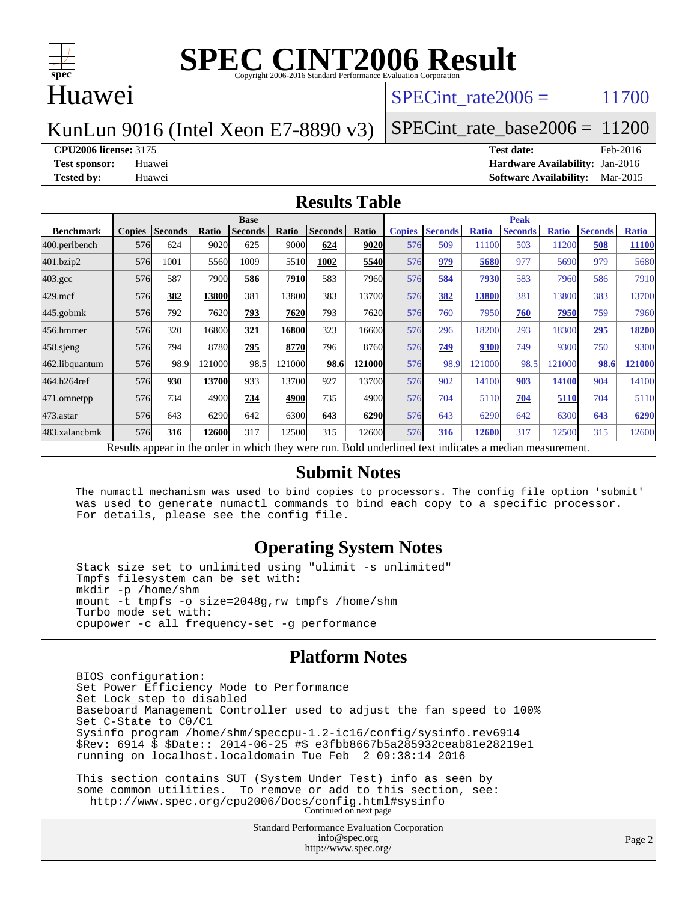

### Huawei

### SPECint rate $2006 = 11700$

### KunLun 9016 (Intel Xeon E7-8890 v3)

SPECint rate base2006 =  $11200$ 

**[CPU2006 license:](http://www.spec.org/auto/cpu2006/Docs/result-fields.html#CPU2006license)** 3175 **[Test date:](http://www.spec.org/auto/cpu2006/Docs/result-fields.html#Testdate)** Feb-2016

**[Test sponsor:](http://www.spec.org/auto/cpu2006/Docs/result-fields.html#Testsponsor)** Huawei **[Hardware Availability:](http://www.spec.org/auto/cpu2006/Docs/result-fields.html#HardwareAvailability)** Jan-2016 **[Tested by:](http://www.spec.org/auto/cpu2006/Docs/result-fields.html#Testedby)** Huawei **[Software Availability:](http://www.spec.org/auto/cpu2006/Docs/result-fields.html#SoftwareAvailability)** Mar-2015

#### **[Results Table](http://www.spec.org/auto/cpu2006/Docs/result-fields.html#ResultsTable)**

|                                                                                                          | <b>Base</b>   |                |              |                |        |                |        | <b>Peak</b>   |                |              |                |              |                |              |
|----------------------------------------------------------------------------------------------------------|---------------|----------------|--------------|----------------|--------|----------------|--------|---------------|----------------|--------------|----------------|--------------|----------------|--------------|
| <b>Benchmark</b>                                                                                         | <b>Copies</b> | <b>Seconds</b> | <b>Ratio</b> | <b>Seconds</b> | Ratio  | <b>Seconds</b> | Ratio  | <b>Copies</b> | <b>Seconds</b> | <b>Ratio</b> | <b>Seconds</b> | <b>Ratio</b> | <b>Seconds</b> | <b>Ratio</b> |
| 400.perlbench                                                                                            | 576           | 624            | 9020         | 625            | 9000   | 624            | 9020   | 576           | 509            | 11100        | 503            | 11200        | 508            | 11100        |
| 401.bzip2                                                                                                | 576           | 1001           | 5560         | 1009           | 5510   | 1002           | 5540   | 576           | 979            | 5680         | 977            | 5690         | 979            | 5680         |
| $403.\mathrm{gcc}$                                                                                       | 576           | 587            | 7900         | 586            | 7910   | 583            | 7960   | 576           | 584            | 7930         | 583            | 7960         | 586            | 7910         |
| $429$ .mcf                                                                                               | 576           | 382            | 13800        | 381            | 13800  | 383            | 13700  | 576           | 382            | 13800        | 381            | 13800        | 383            | 13700        |
| $445$ .gobmk                                                                                             | 576           | 792            | 7620         | 793            | 7620   | 793            | 7620   | 576           | 760            | 7950         | 760            | 7950         | 759            | 7960         |
| 456.hmmer                                                                                                | 576           | 320            | 16800        | 321            | 16800  | 323            | 16600l | 576           | 296            | 18200        | 293            | 18300        | 295            | 18200        |
| $458$ .sjeng                                                                                             | 576           | 794            | 8780         | 795            | 8770   | 796            | 8760   | 576           | 749            | 9300         | 749            | 9300         | 750            | 9300         |
| 462.libquantum                                                                                           | 576           | 98.9           | 121000       | 98.5           | 121000 | 98.6           | 121000 | 576           | 98.9           | 121000       | 98.5           | 121000       | 98.6           | 121000       |
| 464.h264ref                                                                                              | 576           | 930            | 13700        | 933            | 13700  | 927            | 13700l | 576           | 902            | 14100        | 903            | 14100        | 904            | 14100        |
| 471.omnetpp                                                                                              | 576           | 734            | 4900         | 734            | 4900   | 735            | 4900l  | 576           | 704            | 5110         | 704            | 5110         | 704            | 5110         |
| $473$ . astar                                                                                            | 576           | 643            | 6290         | 642            | 6300   | 643            | 6290   | 576           | 643            | 6290         | 642            | 6300         | 643            | 6290         |
| 483.xalancbmk                                                                                            | 576           | 316            | 12600        | 317            | 12500  | 315            | 12600  | 576           | 316            | 12600        | 317            | 12500        | 315            | 12600        |
| Results appear in the order in which they were run. Bold underlined text indicates a median measurement. |               |                |              |                |        |                |        |               |                |              |                |              |                |              |

#### **[Submit Notes](http://www.spec.org/auto/cpu2006/Docs/result-fields.html#SubmitNotes)**

 The numactl mechanism was used to bind copies to processors. The config file option 'submit' was used to generate numactl commands to bind each copy to a specific processor. For details, please see the config file.

### **[Operating System Notes](http://www.spec.org/auto/cpu2006/Docs/result-fields.html#OperatingSystemNotes)**

 Stack size set to unlimited using "ulimit -s unlimited" Tmpfs filesystem can be set with: mkdir -p /home/shm mount -t tmpfs -o size=2048g,rw tmpfs /home/shm Turbo mode set with: cpupower -c all frequency-set -g performance

### **[Platform Notes](http://www.spec.org/auto/cpu2006/Docs/result-fields.html#PlatformNotes)**

 BIOS configuration: Set Power Efficiency Mode to Performance Set Lock\_step to disabled Baseboard Management Controller used to adjust the fan speed to 100% Set C-State to C0/C1 Sysinfo program /home/shm/speccpu-1.2-ic16/config/sysinfo.rev6914 \$Rev: 6914 \$ \$Date:: 2014-06-25 #\$ e3fbb8667b5a285932ceab81e28219e1 running on localhost.localdomain Tue Feb 2 09:38:14 2016 This section contains SUT (System Under Test) info as seen by some common utilities. To remove or add to this section, see: <http://www.spec.org/cpu2006/Docs/config.html#sysinfo> Continued on next page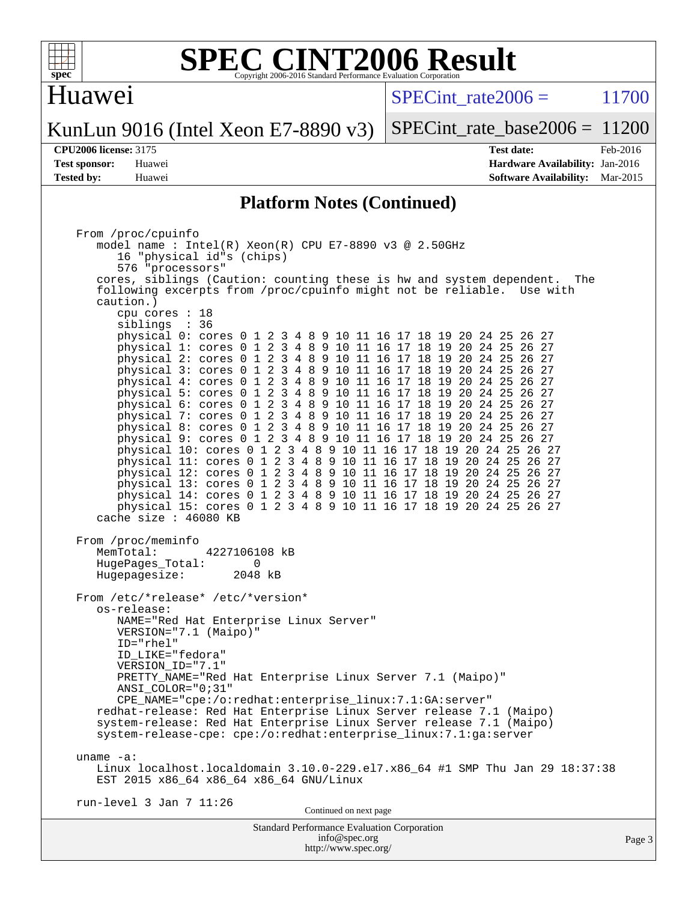

### Huawei

 $SPECint rate2006 = 11700$ 

KunLun 9016 (Intel Xeon E7-8890 v3)

SPECint rate base2006 =  $11200$ 

**[CPU2006 license:](http://www.spec.org/auto/cpu2006/Docs/result-fields.html#CPU2006license)** 3175 **[Test date:](http://www.spec.org/auto/cpu2006/Docs/result-fields.html#Testdate)** Feb-2016 **[Test sponsor:](http://www.spec.org/auto/cpu2006/Docs/result-fields.html#Testsponsor)** Huawei **[Hardware Availability:](http://www.spec.org/auto/cpu2006/Docs/result-fields.html#HardwareAvailability)** Jan-2016 **[Tested by:](http://www.spec.org/auto/cpu2006/Docs/result-fields.html#Testedby)** Huawei **[Software Availability:](http://www.spec.org/auto/cpu2006/Docs/result-fields.html#SoftwareAvailability)** Mar-2015

#### **[Platform Notes \(Continued\)](http://www.spec.org/auto/cpu2006/Docs/result-fields.html#PlatformNotes)**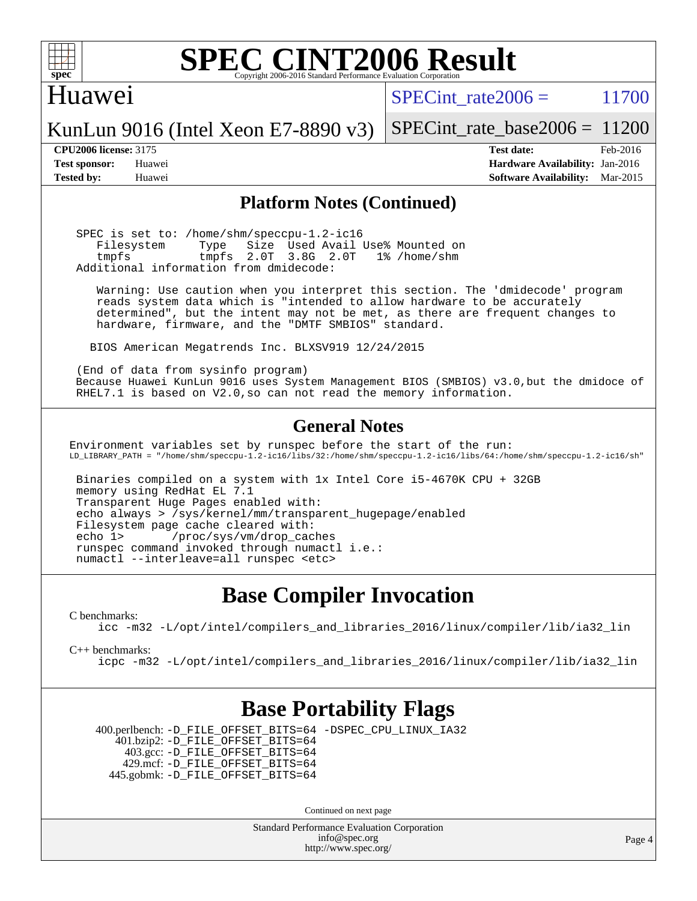

### Huawei

 $SPECTnt rate2006 = 11700$ 

KunLun 9016 (Intel Xeon E7-8890 v3)

SPECint rate base2006 =  $11200$ **[CPU2006 license:](http://www.spec.org/auto/cpu2006/Docs/result-fields.html#CPU2006license)** 3175 **[Test date:](http://www.spec.org/auto/cpu2006/Docs/result-fields.html#Testdate)** Feb-2016

**[Test sponsor:](http://www.spec.org/auto/cpu2006/Docs/result-fields.html#Testsponsor)** Huawei **[Hardware Availability:](http://www.spec.org/auto/cpu2006/Docs/result-fields.html#HardwareAvailability)** Jan-2016 **[Tested by:](http://www.spec.org/auto/cpu2006/Docs/result-fields.html#Testedby)** Huawei **[Software Availability:](http://www.spec.org/auto/cpu2006/Docs/result-fields.html#SoftwareAvailability)** Mar-2015

#### **[Platform Notes \(Continued\)](http://www.spec.org/auto/cpu2006/Docs/result-fields.html#PlatformNotes)**

 SPEC is set to: /home/shm/speccpu-1.2-ic16 Filesystem Type Size Used Avail Use% Mounted on tmpfs tmpfs 2.0T 3.8G 2.0T 1% /home/shm Additional information from dmidecode:

 Warning: Use caution when you interpret this section. The 'dmidecode' program reads system data which is "intended to allow hardware to be accurately determined", but the intent may not be met, as there are frequent changes to hardware, firmware, and the "DMTF SMBIOS" standard.

BIOS American Megatrends Inc. BLXSV919 12/24/2015

 (End of data from sysinfo program) Because Huawei KunLun 9016 uses System Management BIOS (SMBIOS) v3.0,but the dmidoce of RHEL7.1 is based on V2.0,so can not read the memory information.

### **[General Notes](http://www.spec.org/auto/cpu2006/Docs/result-fields.html#GeneralNotes)**

Environment variables set by runspec before the start of the run: LD\_LIBRARY\_PATH = "/home/shm/speccpu-1.2-ic16/libs/32:/home/shm/speccpu-1.2-ic16/libs/64:/home/shm/speccpu-1.2-ic16/sh"

 Binaries compiled on a system with 1x Intel Core i5-4670K CPU + 32GB memory using RedHat EL 7.1 Transparent Huge Pages enabled with: echo always > /sys/kernel/mm/transparent\_hugepage/enabled Filesystem page cache cleared with: echo 1> /proc/sys/vm/drop\_caches runspec command invoked through numactl i.e.: numactl --interleave=all runspec <etc>

# **[Base Compiler Invocation](http://www.spec.org/auto/cpu2006/Docs/result-fields.html#BaseCompilerInvocation)**

[C benchmarks](http://www.spec.org/auto/cpu2006/Docs/result-fields.html#Cbenchmarks):

[icc -m32 -L/opt/intel/compilers\\_and\\_libraries\\_2016/linux/compiler/lib/ia32\\_lin](http://www.spec.org/cpu2006/results/res2016q1/cpu2006-20160205-38961.flags.html#user_CCbase_intel_icc_e10256ba5924b668798078a321b0cb3f)

[C++ benchmarks:](http://www.spec.org/auto/cpu2006/Docs/result-fields.html#CXXbenchmarks)

[icpc -m32 -L/opt/intel/compilers\\_and\\_libraries\\_2016/linux/compiler/lib/ia32\\_lin](http://www.spec.org/cpu2006/results/res2016q1/cpu2006-20160205-38961.flags.html#user_CXXbase_intel_icpc_b4f50a394bdb4597aa5879c16bc3f5c5)

# **[Base Portability Flags](http://www.spec.org/auto/cpu2006/Docs/result-fields.html#BasePortabilityFlags)**

 400.perlbench: [-D\\_FILE\\_OFFSET\\_BITS=64](http://www.spec.org/cpu2006/results/res2016q1/cpu2006-20160205-38961.flags.html#user_basePORTABILITY400_perlbench_file_offset_bits_64_438cf9856305ebd76870a2c6dc2689ab) [-DSPEC\\_CPU\\_LINUX\\_IA32](http://www.spec.org/cpu2006/results/res2016q1/cpu2006-20160205-38961.flags.html#b400.perlbench_baseCPORTABILITY_DSPEC_CPU_LINUX_IA32) 401.bzip2: [-D\\_FILE\\_OFFSET\\_BITS=64](http://www.spec.org/cpu2006/results/res2016q1/cpu2006-20160205-38961.flags.html#user_basePORTABILITY401_bzip2_file_offset_bits_64_438cf9856305ebd76870a2c6dc2689ab) 403.gcc: [-D\\_FILE\\_OFFSET\\_BITS=64](http://www.spec.org/cpu2006/results/res2016q1/cpu2006-20160205-38961.flags.html#user_basePORTABILITY403_gcc_file_offset_bits_64_438cf9856305ebd76870a2c6dc2689ab) 429.mcf: [-D\\_FILE\\_OFFSET\\_BITS=64](http://www.spec.org/cpu2006/results/res2016q1/cpu2006-20160205-38961.flags.html#user_basePORTABILITY429_mcf_file_offset_bits_64_438cf9856305ebd76870a2c6dc2689ab) 445.gobmk: [-D\\_FILE\\_OFFSET\\_BITS=64](http://www.spec.org/cpu2006/results/res2016q1/cpu2006-20160205-38961.flags.html#user_basePORTABILITY445_gobmk_file_offset_bits_64_438cf9856305ebd76870a2c6dc2689ab)

Continued on next page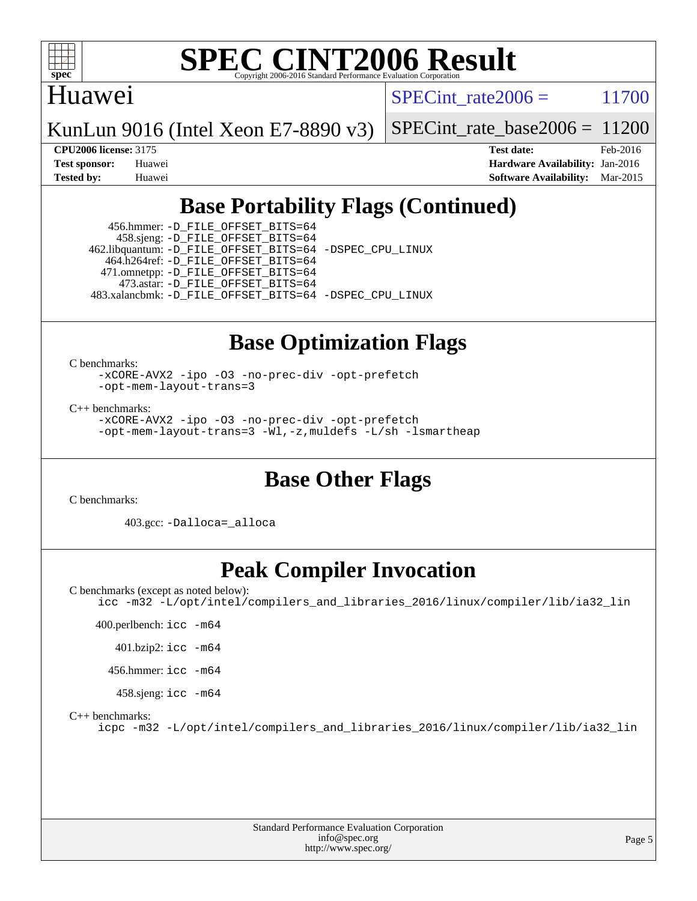

## Huawei

SPECint rate $2006 = 11700$ 

KunLun 9016 (Intel Xeon E7-8890 v3)

SPECint rate base2006 =  $11200$ 

**[CPU2006 license:](http://www.spec.org/auto/cpu2006/Docs/result-fields.html#CPU2006license)** 3175 **[Test date:](http://www.spec.org/auto/cpu2006/Docs/result-fields.html#Testdate)** Feb-2016 **[Test sponsor:](http://www.spec.org/auto/cpu2006/Docs/result-fields.html#Testsponsor)** Huawei **[Hardware Availability:](http://www.spec.org/auto/cpu2006/Docs/result-fields.html#HardwareAvailability)** Jan-2016 **[Tested by:](http://www.spec.org/auto/cpu2006/Docs/result-fields.html#Testedby)** Huawei **[Software Availability:](http://www.spec.org/auto/cpu2006/Docs/result-fields.html#SoftwareAvailability)** Mar-2015

# **[Base Portability Flags \(Continued\)](http://www.spec.org/auto/cpu2006/Docs/result-fields.html#BasePortabilityFlags)**

 456.hmmer: [-D\\_FILE\\_OFFSET\\_BITS=64](http://www.spec.org/cpu2006/results/res2016q1/cpu2006-20160205-38961.flags.html#user_basePORTABILITY456_hmmer_file_offset_bits_64_438cf9856305ebd76870a2c6dc2689ab) 458.sjeng: [-D\\_FILE\\_OFFSET\\_BITS=64](http://www.spec.org/cpu2006/results/res2016q1/cpu2006-20160205-38961.flags.html#user_basePORTABILITY458_sjeng_file_offset_bits_64_438cf9856305ebd76870a2c6dc2689ab) 462.libquantum: [-D\\_FILE\\_OFFSET\\_BITS=64](http://www.spec.org/cpu2006/results/res2016q1/cpu2006-20160205-38961.flags.html#user_basePORTABILITY462_libquantum_file_offset_bits_64_438cf9856305ebd76870a2c6dc2689ab) [-DSPEC\\_CPU\\_LINUX](http://www.spec.org/cpu2006/results/res2016q1/cpu2006-20160205-38961.flags.html#b462.libquantum_baseCPORTABILITY_DSPEC_CPU_LINUX) 464.h264ref: [-D\\_FILE\\_OFFSET\\_BITS=64](http://www.spec.org/cpu2006/results/res2016q1/cpu2006-20160205-38961.flags.html#user_basePORTABILITY464_h264ref_file_offset_bits_64_438cf9856305ebd76870a2c6dc2689ab) 471.omnetpp: [-D\\_FILE\\_OFFSET\\_BITS=64](http://www.spec.org/cpu2006/results/res2016q1/cpu2006-20160205-38961.flags.html#user_basePORTABILITY471_omnetpp_file_offset_bits_64_438cf9856305ebd76870a2c6dc2689ab) 473.astar: [-D\\_FILE\\_OFFSET\\_BITS=64](http://www.spec.org/cpu2006/results/res2016q1/cpu2006-20160205-38961.flags.html#user_basePORTABILITY473_astar_file_offset_bits_64_438cf9856305ebd76870a2c6dc2689ab) 483.xalancbmk: [-D\\_FILE\\_OFFSET\\_BITS=64](http://www.spec.org/cpu2006/results/res2016q1/cpu2006-20160205-38961.flags.html#user_basePORTABILITY483_xalancbmk_file_offset_bits_64_438cf9856305ebd76870a2c6dc2689ab) [-DSPEC\\_CPU\\_LINUX](http://www.spec.org/cpu2006/results/res2016q1/cpu2006-20160205-38961.flags.html#b483.xalancbmk_baseCXXPORTABILITY_DSPEC_CPU_LINUX)

# **[Base Optimization Flags](http://www.spec.org/auto/cpu2006/Docs/result-fields.html#BaseOptimizationFlags)**

[C benchmarks](http://www.spec.org/auto/cpu2006/Docs/result-fields.html#Cbenchmarks):

[-xCORE-AVX2](http://www.spec.org/cpu2006/results/res2016q1/cpu2006-20160205-38961.flags.html#user_CCbase_f-xAVX2_5f5fc0cbe2c9f62c816d3e45806c70d7) [-ipo](http://www.spec.org/cpu2006/results/res2016q1/cpu2006-20160205-38961.flags.html#user_CCbase_f-ipo) [-O3](http://www.spec.org/cpu2006/results/res2016q1/cpu2006-20160205-38961.flags.html#user_CCbase_f-O3) [-no-prec-div](http://www.spec.org/cpu2006/results/res2016q1/cpu2006-20160205-38961.flags.html#user_CCbase_f-no-prec-div) [-opt-prefetch](http://www.spec.org/cpu2006/results/res2016q1/cpu2006-20160205-38961.flags.html#user_CCbase_f-opt-prefetch) [-opt-mem-layout-trans=3](http://www.spec.org/cpu2006/results/res2016q1/cpu2006-20160205-38961.flags.html#user_CCbase_f-opt-mem-layout-trans_a7b82ad4bd7abf52556d4961a2ae94d5)

[C++ benchmarks:](http://www.spec.org/auto/cpu2006/Docs/result-fields.html#CXXbenchmarks)

[-xCORE-AVX2](http://www.spec.org/cpu2006/results/res2016q1/cpu2006-20160205-38961.flags.html#user_CXXbase_f-xAVX2_5f5fc0cbe2c9f62c816d3e45806c70d7) [-ipo](http://www.spec.org/cpu2006/results/res2016q1/cpu2006-20160205-38961.flags.html#user_CXXbase_f-ipo) [-O3](http://www.spec.org/cpu2006/results/res2016q1/cpu2006-20160205-38961.flags.html#user_CXXbase_f-O3) [-no-prec-div](http://www.spec.org/cpu2006/results/res2016q1/cpu2006-20160205-38961.flags.html#user_CXXbase_f-no-prec-div) [-opt-prefetch](http://www.spec.org/cpu2006/results/res2016q1/cpu2006-20160205-38961.flags.html#user_CXXbase_f-opt-prefetch) [-opt-mem-layout-trans=3](http://www.spec.org/cpu2006/results/res2016q1/cpu2006-20160205-38961.flags.html#user_CXXbase_f-opt-mem-layout-trans_a7b82ad4bd7abf52556d4961a2ae94d5) [-Wl,-z,muldefs](http://www.spec.org/cpu2006/results/res2016q1/cpu2006-20160205-38961.flags.html#user_CXXbase_link_force_multiple1_74079c344b956b9658436fd1b6dd3a8a) [-L/sh -lsmartheap](http://www.spec.org/cpu2006/results/res2016q1/cpu2006-20160205-38961.flags.html#user_CXXbase_SmartHeap_32f6c82aa1ed9c52345d30cf6e4a0499)

# **[Base Other Flags](http://www.spec.org/auto/cpu2006/Docs/result-fields.html#BaseOtherFlags)**

[C benchmarks](http://www.spec.org/auto/cpu2006/Docs/result-fields.html#Cbenchmarks):

403.gcc: [-Dalloca=\\_alloca](http://www.spec.org/cpu2006/results/res2016q1/cpu2006-20160205-38961.flags.html#b403.gcc_baseEXTRA_CFLAGS_Dalloca_be3056838c12de2578596ca5467af7f3)

# **[Peak Compiler Invocation](http://www.spec.org/auto/cpu2006/Docs/result-fields.html#PeakCompilerInvocation)**

[C benchmarks \(except as noted below\)](http://www.spec.org/auto/cpu2006/Docs/result-fields.html#Cbenchmarksexceptasnotedbelow):

[icc -m32 -L/opt/intel/compilers\\_and\\_libraries\\_2016/linux/compiler/lib/ia32\\_lin](http://www.spec.org/cpu2006/results/res2016q1/cpu2006-20160205-38961.flags.html#user_CCpeak_intel_icc_e10256ba5924b668798078a321b0cb3f)

400.perlbench: [icc -m64](http://www.spec.org/cpu2006/results/res2016q1/cpu2006-20160205-38961.flags.html#user_peakCCLD400_perlbench_intel_icc_64bit_bda6cc9af1fdbb0edc3795bac97ada53)

401.bzip2: [icc -m64](http://www.spec.org/cpu2006/results/res2016q1/cpu2006-20160205-38961.flags.html#user_peakCCLD401_bzip2_intel_icc_64bit_bda6cc9af1fdbb0edc3795bac97ada53)

456.hmmer: [icc -m64](http://www.spec.org/cpu2006/results/res2016q1/cpu2006-20160205-38961.flags.html#user_peakCCLD456_hmmer_intel_icc_64bit_bda6cc9af1fdbb0edc3795bac97ada53)

458.sjeng: [icc -m64](http://www.spec.org/cpu2006/results/res2016q1/cpu2006-20160205-38961.flags.html#user_peakCCLD458_sjeng_intel_icc_64bit_bda6cc9af1fdbb0edc3795bac97ada53)

[C++ benchmarks:](http://www.spec.org/auto/cpu2006/Docs/result-fields.html#CXXbenchmarks)

[icpc -m32 -L/opt/intel/compilers\\_and\\_libraries\\_2016/linux/compiler/lib/ia32\\_lin](http://www.spec.org/cpu2006/results/res2016q1/cpu2006-20160205-38961.flags.html#user_CXXpeak_intel_icpc_b4f50a394bdb4597aa5879c16bc3f5c5)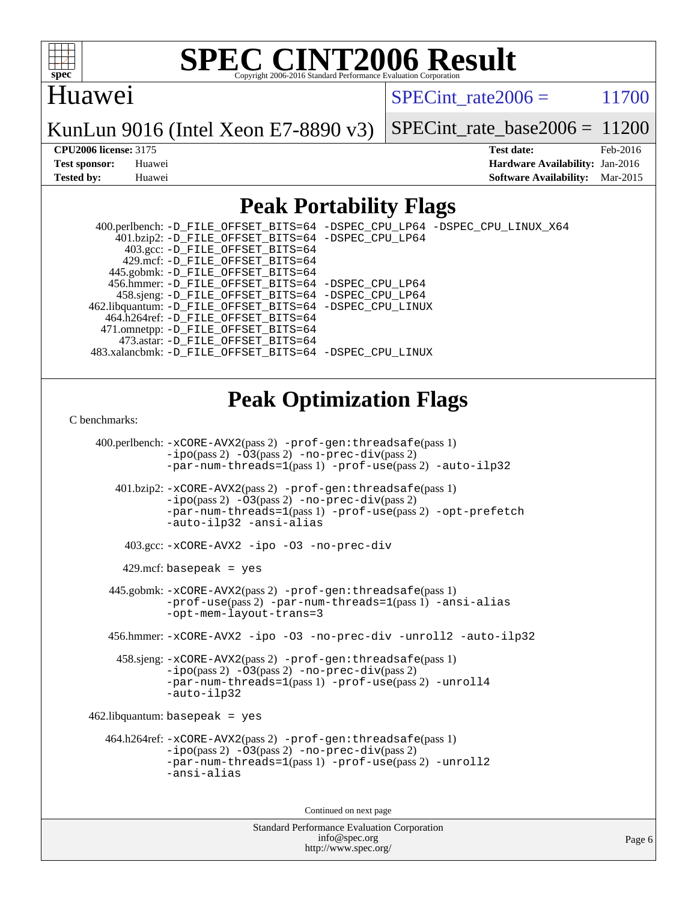

# Huawei

 $SPECTnt rate2006 = 11700$ 

KunLun 9016 (Intel Xeon E7-8890 v3)

SPECint rate base2006 =  $11200$ 

**[CPU2006 license:](http://www.spec.org/auto/cpu2006/Docs/result-fields.html#CPU2006license)** 3175 **[Test date:](http://www.spec.org/auto/cpu2006/Docs/result-fields.html#Testdate)** Feb-2016 **[Test sponsor:](http://www.spec.org/auto/cpu2006/Docs/result-fields.html#Testsponsor)** Huawei **[Hardware Availability:](http://www.spec.org/auto/cpu2006/Docs/result-fields.html#HardwareAvailability)** Jan-2016 **[Tested by:](http://www.spec.org/auto/cpu2006/Docs/result-fields.html#Testedby)** Huawei **[Software Availability:](http://www.spec.org/auto/cpu2006/Docs/result-fields.html#SoftwareAvailability)** Mar-2015

# **[Peak Portability Flags](http://www.spec.org/auto/cpu2006/Docs/result-fields.html#PeakPortabilityFlags)**

 400.perlbench: [-D\\_FILE\\_OFFSET\\_BITS=64](http://www.spec.org/cpu2006/results/res2016q1/cpu2006-20160205-38961.flags.html#user_peakPORTABILITY400_perlbench_file_offset_bits_64_438cf9856305ebd76870a2c6dc2689ab) [-DSPEC\\_CPU\\_LP64](http://www.spec.org/cpu2006/results/res2016q1/cpu2006-20160205-38961.flags.html#b400.perlbench_peakCPORTABILITY_DSPEC_CPU_LP64) [-DSPEC\\_CPU\\_LINUX\\_X64](http://www.spec.org/cpu2006/results/res2016q1/cpu2006-20160205-38961.flags.html#b400.perlbench_peakCPORTABILITY_DSPEC_CPU_LINUX_X64) 401.bzip2: [-D\\_FILE\\_OFFSET\\_BITS=64](http://www.spec.org/cpu2006/results/res2016q1/cpu2006-20160205-38961.flags.html#user_peakPORTABILITY401_bzip2_file_offset_bits_64_438cf9856305ebd76870a2c6dc2689ab) [-DSPEC\\_CPU\\_LP64](http://www.spec.org/cpu2006/results/res2016q1/cpu2006-20160205-38961.flags.html#suite_peakCPORTABILITY401_bzip2_DSPEC_CPU_LP64) 403.gcc: [-D\\_FILE\\_OFFSET\\_BITS=64](http://www.spec.org/cpu2006/results/res2016q1/cpu2006-20160205-38961.flags.html#user_peakPORTABILITY403_gcc_file_offset_bits_64_438cf9856305ebd76870a2c6dc2689ab) 429.mcf: [-D\\_FILE\\_OFFSET\\_BITS=64](http://www.spec.org/cpu2006/results/res2016q1/cpu2006-20160205-38961.flags.html#user_peakPORTABILITY429_mcf_file_offset_bits_64_438cf9856305ebd76870a2c6dc2689ab) 445.gobmk: [-D\\_FILE\\_OFFSET\\_BITS=64](http://www.spec.org/cpu2006/results/res2016q1/cpu2006-20160205-38961.flags.html#user_peakPORTABILITY445_gobmk_file_offset_bits_64_438cf9856305ebd76870a2c6dc2689ab) 456.hmmer: [-D\\_FILE\\_OFFSET\\_BITS=64](http://www.spec.org/cpu2006/results/res2016q1/cpu2006-20160205-38961.flags.html#user_peakPORTABILITY456_hmmer_file_offset_bits_64_438cf9856305ebd76870a2c6dc2689ab) [-DSPEC\\_CPU\\_LP64](http://www.spec.org/cpu2006/results/res2016q1/cpu2006-20160205-38961.flags.html#suite_peakCPORTABILITY456_hmmer_DSPEC_CPU_LP64) 458.sjeng: [-D\\_FILE\\_OFFSET\\_BITS=64](http://www.spec.org/cpu2006/results/res2016q1/cpu2006-20160205-38961.flags.html#user_peakPORTABILITY458_sjeng_file_offset_bits_64_438cf9856305ebd76870a2c6dc2689ab) [-DSPEC\\_CPU\\_LP64](http://www.spec.org/cpu2006/results/res2016q1/cpu2006-20160205-38961.flags.html#suite_peakCPORTABILITY458_sjeng_DSPEC_CPU_LP64) 462.libquantum: [-D\\_FILE\\_OFFSET\\_BITS=64](http://www.spec.org/cpu2006/results/res2016q1/cpu2006-20160205-38961.flags.html#user_peakPORTABILITY462_libquantum_file_offset_bits_64_438cf9856305ebd76870a2c6dc2689ab) [-DSPEC\\_CPU\\_LINUX](http://www.spec.org/cpu2006/results/res2016q1/cpu2006-20160205-38961.flags.html#b462.libquantum_peakCPORTABILITY_DSPEC_CPU_LINUX) 464.h264ref: [-D\\_FILE\\_OFFSET\\_BITS=64](http://www.spec.org/cpu2006/results/res2016q1/cpu2006-20160205-38961.flags.html#user_peakPORTABILITY464_h264ref_file_offset_bits_64_438cf9856305ebd76870a2c6dc2689ab) 471.omnetpp: [-D\\_FILE\\_OFFSET\\_BITS=64](http://www.spec.org/cpu2006/results/res2016q1/cpu2006-20160205-38961.flags.html#user_peakPORTABILITY471_omnetpp_file_offset_bits_64_438cf9856305ebd76870a2c6dc2689ab) 473.astar: [-D\\_FILE\\_OFFSET\\_BITS=64](http://www.spec.org/cpu2006/results/res2016q1/cpu2006-20160205-38961.flags.html#user_peakPORTABILITY473_astar_file_offset_bits_64_438cf9856305ebd76870a2c6dc2689ab) 483.xalancbmk: [-D\\_FILE\\_OFFSET\\_BITS=64](http://www.spec.org/cpu2006/results/res2016q1/cpu2006-20160205-38961.flags.html#user_peakPORTABILITY483_xalancbmk_file_offset_bits_64_438cf9856305ebd76870a2c6dc2689ab) [-DSPEC\\_CPU\\_LINUX](http://www.spec.org/cpu2006/results/res2016q1/cpu2006-20160205-38961.flags.html#b483.xalancbmk_peakCXXPORTABILITY_DSPEC_CPU_LINUX)

# **[Peak Optimization Flags](http://www.spec.org/auto/cpu2006/Docs/result-fields.html#PeakOptimizationFlags)**

#### [C benchmarks](http://www.spec.org/auto/cpu2006/Docs/result-fields.html#Cbenchmarks):

```
 400.perlbench: -xCORE-AVX2(pass 2) -prof-gen:threadsafe(pass 1)
             -ipo(pass 2) -O3(pass 2) -no-prec-div(pass 2)
             -par-num-threads=1(pass 1) -prof-use(pass 2) -auto-ilp32
     401.bzip2: -xCORE-AVX2(pass 2) -prof-gen:threadsafe(pass 1)
             -ipo(pass 2) -O3(pass 2) -no-prec-div(pass 2)
             -par-num-threads=1(pass 1) -prof-use(pass 2) -opt-prefetch
             -auto-ilp32 -ansi-alias
       403.gcc: -xCORE-AVX2 -ipo -O3 -no-prec-div
     429.mcf: basepeak = yes
    445.gobmk: -xCORE-AVX2(pass 2) -prof-gen:threadsafe(pass 1)
             -prof-use(pass 2) -par-num-threads=1(pass 1) -ansi-alias
             -opt-mem-layout-trans=3
    456.hmmer: -xCORE-AVX2 -ipo -O3 -no-prec-div -unroll2 -auto-ilp32
     458.sjeng: -xCORE-AVX2(pass 2) -prof-gen:threadsafe(pass 1)
             -ipo(pass 2) -O3(pass 2) -no-prec-div(pass 2)
             -par-num-threads=1(pass 1) -prof-use(pass 2) -unroll4
             -auto-ilp32
462.libquantum: basepeak = yes
   464.h264ref: -xCORE-AVX2(pass 2) -prof-gen:threadsafe(pass 1)
             -i\text{po}(pass 2) -\overline{O}3(pass 2)-no-prec-div(pass 2)
             -par-num-threads=1(pass 1) -prof-use(pass 2) -unroll2
             -ansi-alias
                                     Continued on next page
```